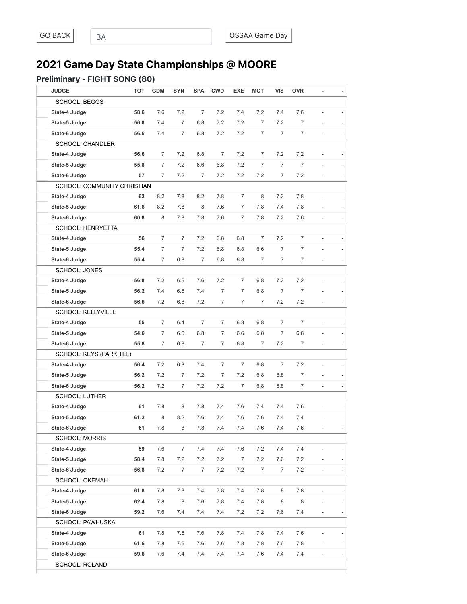# **2021 Game Day State Championships @ MOORE**

#### Preliminary - FIGHT SONG (80)

| <b>JUDGE</b>                | тот  | <b>GDM</b>     | <b>SYN</b>     | <b>SPA</b>     | <b>CWD</b>     | <b>EXE</b>     | <b>MOT</b>     | <b>VIS</b>     | <b>OVR</b>     | ٠                        |  |
|-----------------------------|------|----------------|----------------|----------------|----------------|----------------|----------------|----------------|----------------|--------------------------|--|
| <b>SCHOOL: BEGGS</b>        |      |                |                |                |                |                |                |                |                |                          |  |
| State-4 Judge               | 58.6 | 7.6            | 7.2            | $\overline{7}$ | 7.2            | 7.4            | 7.2            | 7.4            | 7.6            |                          |  |
| State-5 Judge               | 56.8 | 7.4            | 7              | 6.8            | 7.2            | 7.2            | 7              | 7.2            | 7              |                          |  |
| State-6 Judge               | 56.6 | 7.4            | $\overline{7}$ | 6.8            | 7.2            | 7.2            | $\overline{7}$ | $\overline{7}$ | 7              | $\overline{a}$           |  |
| <b>SCHOOL: CHANDLER</b>     |      |                |                |                |                |                |                |                |                |                          |  |
| State-4 Judge               | 56.6 | $\overline{7}$ | 7.2            | 6.8            | $\overline{7}$ | 7.2            | $\overline{7}$ | 7.2            | 7.2            | $\frac{1}{2}$            |  |
| State-5 Judge               | 55.8 | $\overline{7}$ | 7.2            | 6.6            | 6.8            | 7.2            | $\overline{7}$ | $\overline{7}$ | $\overline{7}$ |                          |  |
| State-6 Judge               | 57   | 7              | 7.2            | $\overline{7}$ | 7.2            | 7.2            | 7.2            | 7              | 7.2            |                          |  |
| SCHOOL: COMMUNITY CHRISTIAN |      |                |                |                |                |                |                |                |                |                          |  |
| State-4 Judge               | 62   | 8.2            | 7.8            | 8.2            | 7.8            | 7              | 8              | 7.2            | 7.8            |                          |  |
| State-5 Judge               | 61.6 | 8.2            | 7.8            | 8              | 7.6            | $\overline{7}$ | 7.8            | 7.4            | 7.8            |                          |  |
| State-6 Judge               | 60.8 | 8              | 7.8            | 7.8            | 7.6            | $\overline{7}$ | 7.8            | 7.2            | 7.6            | $\overline{\phantom{a}}$ |  |
| <b>SCHOOL: HENRYETTA</b>    |      |                |                |                |                |                |                |                |                |                          |  |
| State-4 Judge               | 56   | $\overline{7}$ | 7              | 7.2            | 6.8            | 6.8            | $\overline{7}$ | 7.2            | 7              | $\overline{a}$           |  |
| State-5 Judge               | 55.4 | 7              | 7              | 7.2            | 6.8            | 6.8            | 6.6            | 7              | $\overline{7}$ |                          |  |
| State-6 Judge               | 55.4 | 7              | 6.8            | $\overline{7}$ | 6.8            | 6.8            | 7              | 7              | 7              | $\overline{\phantom{a}}$ |  |
| <b>SCHOOL: JONES</b>        |      |                |                |                |                |                |                |                |                |                          |  |
| State-4 Judge               | 56.8 | 7.2            | 6.6            | 7.6            | 7.2            | $\overline{7}$ | 6.8            | 7.2            | 7.2            |                          |  |
| State-5 Judge               | 56.2 | 7.4            | 6.6            | 7.4            | 7              | $\overline{7}$ | 6.8            | $\overline{7}$ | $\overline{7}$ |                          |  |
| State-6 Judge               | 56.6 | 7.2            | 6.8            | 7.2            | $\overline{7}$ | $\overline{7}$ | $\overline{7}$ | 7.2            | 7.2            | ÷,                       |  |
| SCHOOL: KELLYVILLE          |      |                |                |                |                |                |                |                |                |                          |  |
| State-4 Judge               | 55   | $\overline{7}$ | 6.4            | 7              | 7              | 6.8            | 6.8            | $\overline{7}$ | 7              |                          |  |
| State-5 Judge               | 54.6 | 7              | 6.6            | 6.8            | $\overline{7}$ | 6.6            | 6.8            | $\overline{7}$ | 6.8            |                          |  |
| State-6 Judge               | 55.8 | 7              | 6.8            | $\overline{7}$ | 7              | 6.8            | 7              | 7.2            | $\overline{7}$ | L,                       |  |
| SCHOOL: KEYS (PARKHILL)     |      |                |                |                |                |                |                |                |                |                          |  |
| State-4 Judge               | 56.4 | 7.2            | 6.8            | 7.4            | $\overline{7}$ | $\overline{7}$ | 6.8            | $\overline{7}$ | 7.2            |                          |  |
| State-5 Judge               | 56.2 | 7.2            | 7              | 7.2            | 7              | 7.2            | 6.8            | 6.8            | 7              | $\overline{a}$           |  |
| State-6 Judge               | 56.2 | 7.2            | 7              | 7.2            | 7.2            | 7              | 6.8            | 6.8            | 7              | $\overline{a}$           |  |
| <b>SCHOOL: LUTHER</b>       |      |                |                |                |                |                |                |                |                |                          |  |
| State-4 Judge               | 61   | 7.8            | 8              | 7.8            | 7.4            | 7.6            | 7.4            | 7.4            | 7.6            | ä,                       |  |
| State-5 Judge               | 61.2 | 8              | 8.2            | 7.6            | 7.4            | 7.6            | 7.6            | 7.4            | 7.4            |                          |  |
| State-6 Judge               | 61   | 7.8            | 8              | 7.8            | 7.4            | 7.4            | 7.6            | 7.4            | 7.6            |                          |  |
| <b>SCHOOL: MORRIS</b>       |      |                |                |                |                |                |                |                |                |                          |  |
| State-4 Judge               | 59   | 7.6            | $\overline{7}$ | 7.4            | 7.4            | 7.6            | $7.2\,$        | 7.4            | 7.4            | $\frac{1}{2}$            |  |
| State-5 Judge               | 58.4 | 7.8            | 7.2            | 7.2            | 7.2            | $\overline{7}$ | 7.2            | 7.6            | 7.2            |                          |  |
| State-6 Judge               | 56.8 | 7.2            | $\overline{7}$ | $\overline{7}$ | 7.2            | 7.2            | $\overline{7}$ | $\overline{7}$ | 7.2            | $\overline{\phantom{a}}$ |  |
| SCHOOL: OKEMAH              |      |                |                |                |                |                |                |                |                |                          |  |
| State-4 Judge               | 61.8 | 7.8            | 7.8            | 7.4            | 7.8            | 7.4            | 7.8            | 8              | 7.8            | $\overline{\phantom{a}}$ |  |
| State-5 Judge               | 62.4 | 7.8            | 8              | 7.6            | 7.8            | 7.4            | 7.8            | 8              | 8              | $\frac{1}{2}$            |  |
| State-6 Judge               | 59.2 | 7.6            | 7.4            | 7.4            | 7.4            | 7.2            | 7.2            | 7.6            | 7.4            | $\overline{\phantom{a}}$ |  |
| SCHOOL: PAWHUSKA            |      |                |                |                |                |                |                |                |                |                          |  |
| State-4 Judge               | 61   | 7.8            | 7.6            | 7.6            | 7.8            | 7.4            | 7.8            | 7.4            | 7.6            |                          |  |
| State-5 Judge               | 61.6 | 7.8            | 7.6            | 7.6            | $7.6\,$        | 7.8            | 7.8            | $7.6\,$        | 7.8            |                          |  |
| State-6 Judge               | 59.6 | 7.6            | 7.4            | 7.4            | 7.4            | 7.4            | 7.6            | 7.4            | 7.4            | ÷,                       |  |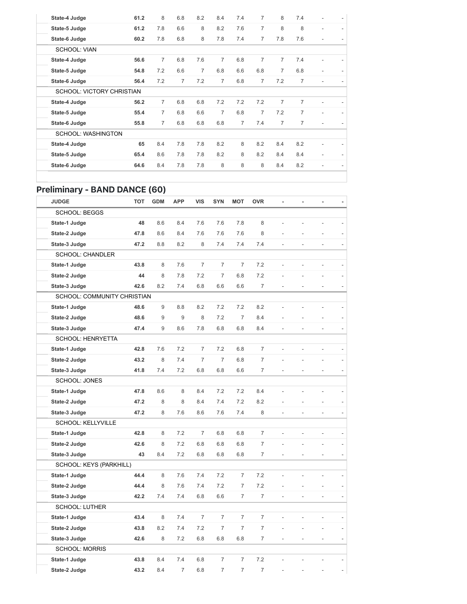| State-4 Judge                    | 61.2 | 8              | 6.8            | 8.2            | 8.4            | 7.4 | 7              | 8              | 7.4 |   |   |
|----------------------------------|------|----------------|----------------|----------------|----------------|-----|----------------|----------------|-----|---|---|
| State-5 Judge                    | 61.2 | 7.8            | 6.6            | 8              | 8.2            | 7.6 | 7              | 8              | 8   | ٠ | ٠ |
| State-6 Judge                    | 60.2 | 7.8            | 6.8            | 8              | 7.8            | 7.4 | 7              | 7.8            | 7.6 |   |   |
| <b>SCHOOL: VIAN</b>              |      |                |                |                |                |     |                |                |     |   |   |
| State-4 Judge                    | 56.6 | $\overline{7}$ | 6.8            | 7.6            | 7              | 6.8 | 7              | $\overline{7}$ | 7.4 |   |   |
| State-5 Judge                    | 54.8 | 7.2            | 6.6            | $\overline{7}$ | 6.8            | 6.6 | 6.8            | 7              | 6.8 |   |   |
| State-6 Judge                    | 56.4 | 7.2            | $\overline{7}$ | 7.2            | $\overline{7}$ | 6.8 | $\overline{7}$ | 7.2            | 7   |   |   |
| <b>SCHOOL: VICTORY CHRISTIAN</b> |      |                |                |                |                |     |                |                |     |   |   |
| State-4 Judge                    | 56.2 | $\overline{7}$ | 6.8            | 6.8            | 7.2            | 7.2 | 7.2            | 7              | 7   |   |   |
| State-5 Judge                    | 55.4 | $\overline{7}$ | 6.8            | 6.6            | 7              | 6.8 | $\overline{7}$ | 7.2            | 7   | ۰ |   |
| State-6 Judge                    | 55.8 | 7              | 6.8            | 6.8            | 6.8            | 7   | 7.4            | $\overline{7}$ | 7   |   |   |
| <b>SCHOOL: WASHINGTON</b>        |      |                |                |                |                |     |                |                |     |   |   |
| State-4 Judge                    | 65   | 8.4            | 7.8            | 7.8            | 8.2            | 8   | 8.2            | 8.4            | 8.2 |   |   |
| State-5 Judge                    | 65.4 | 8.6            | 7.8            | 7.8            | 8.2            | 8   | 8.2            | 8.4            | 8.4 |   |   |
| State-6 Judge                    | 64.6 | 8.4            | 7.8            | 7.8            | 8              | 8   | 8              | 8.4            | 8.2 |   |   |
|                                  |      |                |                |                |                |     |                |                |     |   |   |

#### Preliminary - BAND DANCE (60)

| <b>JUDGE</b>                | <b>TOT</b> | <b>GDM</b> | <b>APP</b>     | <b>VIS</b>     | <b>SYN</b>     | <b>MOT</b>     | <b>OVR</b>     | ä,             | ä              |                |  |
|-----------------------------|------------|------------|----------------|----------------|----------------|----------------|----------------|----------------|----------------|----------------|--|
| <b>SCHOOL: BEGGS</b>        |            |            |                |                |                |                |                |                |                |                |  |
| State-1 Judge               | 48         | 8.6        | 8.4            | 7.6            | 7.6            | 7.8            | 8              |                |                |                |  |
| State-2 Judge               | 47.8       | 8.6        | 8.4            | 7.6            | 7.6            | 7.6            | 8              |                |                |                |  |
| State-3 Judge               | 47.2       | 8.8        | 8.2            | 8              | 7.4            | 7.4            | 7.4            |                |                | L.             |  |
| <b>SCHOOL: CHANDLER</b>     |            |            |                |                |                |                |                |                |                |                |  |
| State-1 Judge               | 43.8       | 8          | 7.6            | $\overline{7}$ | $\overline{7}$ | $\overline{7}$ | 7.2            |                |                | $\overline{a}$ |  |
| State-2 Judge               | 44         | 8          | 7.8            | 7.2            | $\overline{7}$ | 6.8            | 7.2            |                |                | L.             |  |
| State-3 Judge               | 42.6       | 8.2        | 7.4            | 6.8            | 6.6            | 6.6            | $\overline{7}$ |                |                |                |  |
| SCHOOL: COMMUNITY CHRISTIAN |            |            |                |                |                |                |                |                |                |                |  |
| State-1 Judge               | 48.6       | 9          | 8.8            | 8.2            | 7.2            | 7.2            | 8.2            | $\overline{a}$ | L,             |                |  |
| State-2 Judge               | 48.6       | 9          | 9              | 8              | 7.2            | $\overline{7}$ | 8.4            |                |                |                |  |
| State-3 Judge               | 47.4       | 9          | 8.6            | 7.8            | 6.8            | 6.8            | 8.4            | $\frac{1}{2}$  | $\frac{1}{2}$  | $\frac{1}{2}$  |  |
| <b>SCHOOL: HENRYETTA</b>    |            |            |                |                |                |                |                |                |                |                |  |
| State-1 Judge               | 42.8       | 7.6        | 7.2            | $\overline{7}$ | 7.2            | 6.8            | $\overline{7}$ | $\overline{a}$ | $\overline{a}$ | $\overline{a}$ |  |
| State-2 Judge               | 43.2       | 8          | 7.4            | $\overline{7}$ | $\overline{7}$ | 6.8            | $\overline{7}$ |                |                |                |  |
| State-3 Judge               | 41.8       | 7.4        | 7.2            | 6.8            | 6.8            | 6.6            | $\overline{7}$ |                |                |                |  |
| <b>SCHOOL: JONES</b>        |            |            |                |                |                |                |                |                |                |                |  |
| State-1 Judge               | 47.8       | 8.6        | 8              | 8.4            | 7.2            | 7.2            | 8.4            |                |                |                |  |
| State-2 Judge               | 47.2       | 8          | 8              | 8.4            | 7.4            | 7.2            | 8.2            |                |                |                |  |
| State-3 Judge               | 47.2       | 8          | 7.6            | 8.6            | 7.6            | 7.4            | 8              |                |                |                |  |
| SCHOOL: KELLYVILLE          |            |            |                |                |                |                |                |                |                |                |  |
| State-1 Judge               | 42.8       | 8          | 7.2            | 7              | 6.8            | 6.8            | $\overline{7}$ |                |                |                |  |
| State-2 Judge               | 42.6       | 8          | 7.2            | 6.8            | 6.8            | 6.8            | $\overline{7}$ |                |                |                |  |
| State-3 Judge               | 43         | 8.4        | 7.2            | 6.8            | 6.8            | 6.8            | 7              |                |                |                |  |
| SCHOOL: KEYS (PARKHILL)     |            |            |                |                |                |                |                |                |                |                |  |
| State-1 Judge               | 44.4       | 8          | 7.6            | 7.4            | 7.2            | $\overline{7}$ | 7.2            |                |                |                |  |
| State-2 Judge               | 44.4       | 8          | 7.6            | 7.4            | 7.2            | $\overline{7}$ | 7.2            |                |                |                |  |
| State-3 Judge               | 42.2       | 7.4        | 7.4            | 6.8            | 6.6            | $\overline{7}$ | 7              |                |                |                |  |
| <b>SCHOOL: LUTHER</b>       |            |            |                |                |                |                |                |                |                |                |  |
| State-1 Judge               | 43.4       | 8          | 7.4            | $\overline{7}$ | 7              | 7              | $\overline{7}$ | $\overline{a}$ | $\overline{a}$ | $\overline{a}$ |  |
| State-2 Judge               | 43.8       | 8.2        | 7.4            | 7.2            | 7              | $\overline{7}$ | $\overline{7}$ |                |                |                |  |
| State-3 Judge               | 42.6       | 8          | 7.2            | 6.8            | 6.8            | 6.8            | $\overline{7}$ |                |                |                |  |
| <b>SCHOOL: MORRIS</b>       |            |            |                |                |                |                |                |                |                |                |  |
| State-1 Judge               | 43.8       | 8.4        | 7.4            | 6.8            | 7              | $\overline{7}$ | 7.2            |                |                |                |  |
| State-2 Judge               | 43.2       | 8.4        | $\overline{7}$ | 6.8            | $\overline{7}$ | $\overline{7}$ | 7              |                |                |                |  |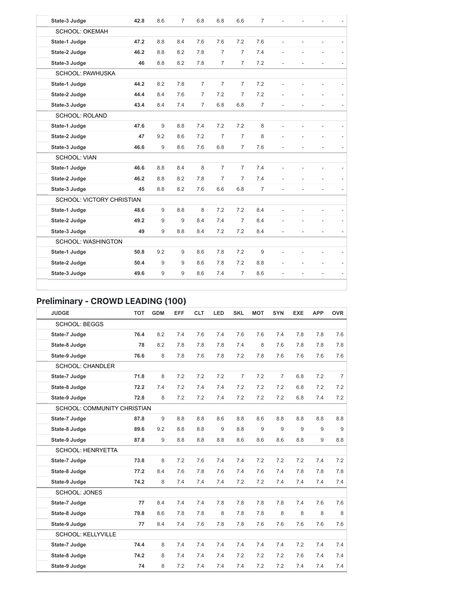| State-3 Judge                    | 42.8 | 8.6   | $\overline{7}$ | 6.8            | 6.8            | 6.6            | $\overline{7}$ | $\overline{\phantom{a}}$ |                | $\overline{a}$           |  |
|----------------------------------|------|-------|----------------|----------------|----------------|----------------|----------------|--------------------------|----------------|--------------------------|--|
| <b>SCHOOL: OKEMAH</b>            |      |       |                |                |                |                |                |                          |                |                          |  |
| State-1 Judge                    | 47.2 | 8.8   | 8.4            | 7.6            | 7.6            | 7.2            | 7.6            |                          |                |                          |  |
| State-2 Judge                    | 46.2 | 8.8   | 8.2            | 7.8            | $\overline{7}$ | $\overline{7}$ | 7.4            |                          |                | ÷                        |  |
| State-3 Judge                    | 46   | 8.8   | 8.2            | 7.8            | 7              | $\overline{7}$ | 7.2            |                          |                | $\overline{a}$           |  |
| <b>SCHOOL: PAWHUSKA</b>          |      |       |                |                |                |                |                |                          |                |                          |  |
| State-1 Judge                    | 44.2 | 8.2   | 7.8            | $\overline{7}$ | $\overline{7}$ | $\overline{7}$ | 7.2            |                          |                |                          |  |
| State-2 Judge                    | 44.4 | 8.4   | 7.6            | $\overline{7}$ | 7.2            | $\overline{7}$ | 7.2            |                          |                |                          |  |
| State-3 Judge                    | 43.4 | 8.4   | 7.4            | $\overline{7}$ | 6.8            | 6.8            | $\overline{7}$ |                          |                | ÷                        |  |
| <b>SCHOOL: ROLAND</b>            |      |       |                |                |                |                |                |                          |                |                          |  |
| State-1 Judge                    | 47.6 | 9     | 8.8            | 7.4            | 7.2            | 7.2            | 8              |                          |                |                          |  |
| State-2 Judge                    | 47   | 9.2   | 8.6            | 7.2            | $\overline{7}$ | $\overline{7}$ | 8              |                          |                | ÷,                       |  |
| State-3 Judge                    | 46.6 | 9     | 8.6            | 7.6            | 6.8            | $\overline{7}$ | 7.6            |                          |                | ٠                        |  |
| <b>SCHOOL: VIAN</b>              |      |       |                |                |                |                |                |                          |                |                          |  |
| State-1 Judge                    | 46.6 | 8.8   | 8.4            | 8              | $\overline{7}$ | $\overline{7}$ | 7.4            |                          |                |                          |  |
| State-2 Judge                    | 46.2 | 8.8   | 8.2            | 7.8            | $\overline{7}$ | $\overline{7}$ | 7.4            |                          |                | ٠                        |  |
| State-3 Judge                    | 45   | 8.8   | 8.2            | 7.6            | 6.6            | 6.8            | $\overline{7}$ |                          | ä,             | ÷.                       |  |
| <b>SCHOOL: VICTORY CHRISTIAN</b> |      |       |                |                |                |                |                |                          |                |                          |  |
| State-1 Judge                    | 48.6 | $9\,$ | 8.8            | 8              | 7.2            | 7.2            | 8.4            |                          |                |                          |  |
| State-2 Judge                    | 49.2 | 9     | 9              | 8.4            | 7.4            | $\overline{7}$ | 8.4            |                          |                |                          |  |
| State-3 Judge                    | 49   | 9     | 8.8            | 8.4            | 7.2            | 7.2            | 8.4            |                          |                | ÷,                       |  |
| <b>SCHOOL: WASHINGTON</b>        |      |       |                |                |                |                |                |                          |                |                          |  |
| State-1 Judge                    | 50.8 | 9.2   | 9              | 8.6            | 7.8            | 7.2            | 9              |                          |                | ٠                        |  |
| State-2 Judge                    | 50.4 | 9     | 9              | 8.6            | 7.8            | 7.2            | 8.8            |                          |                | $\overline{\phantom{a}}$ |  |
| State-3 Judge                    | 49.6 | 9     | 9              | 8.6            | 7.4            | $\overline{7}$ | 8.6            | $\overline{\phantom{a}}$ | $\overline{a}$ | $\overline{\phantom{a}}$ |  |

# Preliminary - CROWD LEADING (100)

| <b>JUDGE</b>                | <b>TOT</b> | <b>GDM</b> | EFF | <b>CLT</b> | LED | <b>SKL</b>     | <b>MOT</b> | <b>SYN</b>     | <b>EXE</b> | <b>APP</b> | <b>OVR</b>     |
|-----------------------------|------------|------------|-----|------------|-----|----------------|------------|----------------|------------|------------|----------------|
| <b>SCHOOL: BEGGS</b>        |            |            |     |            |     |                |            |                |            |            |                |
| State-7 Judge               | 76.4       | 8.2        | 7.4 | 7.6        | 7.4 | 7.6            | 7.6        | 7.4            | 7.8        | 7.8        | 7.6            |
| State-8 Judge               | 78         | 8.2        | 7.8 | 7.8        | 7.8 | 7.4            | 8          | 7.6            | 7.8        | 7.8        | 7.8            |
| State-9 Judge               | 76.6       | 8          | 7.8 | 7.6        | 7.8 | 7.2            | 7.8        | 7.6            | 7.6        | 7.6        | 7.6            |
| SCHOOL: CHANDLER            |            |            |     |            |     |                |            |                |            |            |                |
| State-7 Judge               | 71.8       | 8          | 7.2 | 7.2        | 7.2 | $\overline{7}$ | 7.2        | $\overline{7}$ | 6.8        | 7.2        | $\overline{7}$ |
| State-8 Judge               | 72.2       | 7.4        | 7.2 | 7.4        | 7.4 | 7.2            | 7.2        | 7.2            | 6.8        | 7.2        | 7.2            |
| State-9 Judge               | 72.8       | 8          | 7.2 | 7.2        | 7.4 | 7.2            | 7.2        | 7.2            | 6.8        | 7.4        | 7.2            |
| SCHOOL: COMMUNITY CHRISTIAN |            |            |     |            |     |                |            |                |            |            |                |
| State-7 Judge               | 87.8       | 9          | 8.8 | 8.8        | 8.6 | 8.8            | 8.6        | 8.8            | 8.8        | 8.8        | 8.8            |
| State-8 Judge               | 89.6       | 9.2        | 8.8 | 8.8        | 9   | 8.8            | 9          | 9              | 9          | 9          | $\overline{9}$ |
| State-9 Judge               | 87.8       | 9          | 8.8 | 8.8        | 8.8 | 8.6            | 8.6        | 8.6            | 8.8        | 9          | 8.8            |
| <b>SCHOOL: HENRYETTA</b>    |            |            |     |            |     |                |            |                |            |            |                |
| State-7 Judge               | 73.8       | 8          | 7.2 | 7.6        | 7.4 | 7.4            | 7.2        | 7.2            | 7.2        | 7.4        | 7.2            |
| State-8 Judge               | 77.2       | 8.4        | 7.6 | 7.8        | 7.6 | 7.4            | 7.6        | 7.4            | 7.8        | 7.8        | 7.8            |
| State-9 Judge               | 74.2       | 8          | 7.4 | 7.4        | 7.4 | 7.2            | 7.2        | 7.4            | 7.4        | 7.4        | 7.4            |
| <b>SCHOOL: JONES</b>        |            |            |     |            |     |                |            |                |            |            |                |
| State-7 Judge               | 77         | 8.4        | 7.4 | 7.4        | 7.8 | 7.8            | 7.8        | 7.8            | 7.4        | 7.6        | 7.6            |
| State-8 Judge               | 79.8       | 8.6        | 7.8 | 7.8        | 8   | 7.8            | 7.8        | 8              | 8          | 8          | 8              |
| State-9 Judge               | 77         | 8.4        | 7.4 | 7.6        | 7.8 | 7.8            | 7.6        | 7.6            | 7.6        | 7.6        | 7.6            |
| <b>SCHOOL: KELLYVILLE</b>   |            |            |     |            |     |                |            |                |            |            |                |
| State-7 Judge               | 74.4       | 8          | 7.4 | 7.4        | 7.4 | 7.4            | 7.4        | 7.4            | 7.2        | 7.4        | 7.4            |
| State-8 Judge               | 74.2       | 8          | 7.4 | 7.4        | 7.4 | 7.2            | 7.2        | 7.2            | 7.6        | 7.4        | 7.4            |
| State-9 Judge               | 74         | 8          | 7.2 | 7.4        | 7.4 | 7.4            | 7.2        | 7.2            | 7.4        | 7.4        | 7.4            |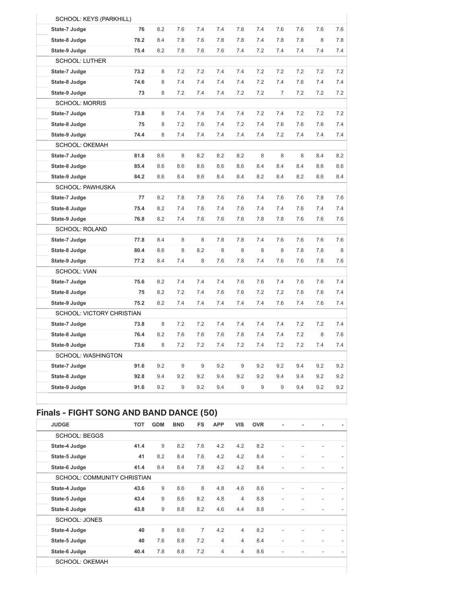| State-7 Judge                    | 76   | 8.2 | 7.6 | 7.4 | 7.4 | 7.6 | 7.4 | 7.6            | 7.6 | 7.6 | 7.6 |
|----------------------------------|------|-----|-----|-----|-----|-----|-----|----------------|-----|-----|-----|
| State-8 Judge                    | 78.2 | 8.4 | 7.8 | 7.6 | 7.8 | 7.8 | 7.4 | 7.8            | 7.8 | 8   | 7.8 |
| State-9 Judge                    | 75.4 | 8.2 | 7.8 | 7.6 | 7.6 | 7.4 | 7.2 | 7.4            | 7.4 | 7.4 | 7.4 |
| <b>SCHOOL: LUTHER</b>            |      |     |     |     |     |     |     |                |     |     |     |
| State-7 Judge                    | 73.2 | 8   | 7.2 | 7.2 | 7.4 | 7.4 | 7.2 | 7.2            | 7.2 | 7.2 |     |
| State-8 Judge                    | 74.6 | 8   | 7.4 | 7.4 | 7.4 | 7.4 | 7.2 | 7.4            | 7.6 | 7.4 |     |
| State-9 Judge                    | 73   | 8   | 7.2 | 7.4 | 7.4 | 7.2 | 7.2 | $\overline{7}$ | 7.2 | 7.2 |     |
| <b>SCHOOL: MORRIS</b>            |      |     |     |     |     |     |     |                |     |     |     |
| State-7 Judge                    | 73.8 | 8   | 7.4 | 7.4 | 7.4 | 7.4 | 7.2 | 7.4            | 7.2 | 7.2 |     |
| State-8 Judge                    | 75   | 8   | 7.2 | 7.6 | 7.4 | 7.2 | 7.4 | 7.6            | 7.6 | 7.6 |     |
| State-9 Judge                    | 74.4 | 8   | 7.4 | 7.4 | 7.4 | 7.4 | 7.4 | 7.2            | 7.4 | 7.4 |     |
| <b>SCHOOL: OKEMAH</b>            |      |     |     |     |     |     |     |                |     |     |     |
| State-7 Judge                    | 81.8 | 8.6 | 8   | 8.2 | 8.2 | 8.2 | 8   | 8              | 8   | 8.4 |     |
| State-8 Judge                    | 85.4 | 8.6 | 8.6 | 8.6 | 8.6 | 8.6 | 8.4 | 8.4            | 8.4 | 8.6 |     |
| State-9 Judge                    | 84.2 | 8.6 | 8.4 | 8.6 | 8.4 | 8.4 | 8.2 | 8.4            | 8.2 | 8.6 |     |
| SCHOOL: PAWHUSKA                 |      |     |     |     |     |     |     |                |     |     |     |
| State-7 Judge                    | 77   | 8.2 | 7.8 | 7.8 | 7.6 | 7.6 | 7.4 | 7.6            | 7.6 | 7.8 |     |
| State-8 Judge                    | 75.4 | 8.2 | 7.4 | 7.6 | 7.4 | 7.6 | 7.4 | 7.4            | 7.6 | 7.4 |     |
| State-9 Judge                    | 76.8 | 8.2 | 7.4 | 7.6 | 7.6 | 7.6 | 7.8 | 7.8            | 7.6 | 7.6 |     |
| SCHOOL: ROLAND                   |      |     |     |     |     |     |     |                |     |     |     |
| State-7 Judge                    | 77.8 | 8.4 | 8   | 8   | 7.8 | 7.8 | 7.4 | 7.6            | 7.6 | 7.6 |     |
| State-8 Judge                    | 80.4 | 8.6 | 8   | 8.2 | 8   | 8   | 8   | 8              | 7.8 | 7.8 |     |
| State-9 Judge                    | 77.2 | 8.4 | 7.4 | 8   | 7.6 | 7.8 | 7.4 | 7.6            | 7.6 | 7.8 |     |
| <b>SCHOOL: VIAN</b>              |      |     |     |     |     |     |     |                |     |     |     |
| State-7 Judge                    | 75.6 | 8.2 | 7.4 | 7.4 | 7.4 | 7.6 | 7.6 | 7.4            | 7.6 | 7.6 |     |
| State-8 Judge                    | 75   | 8.2 | 7.2 | 7.4 | 7.6 | 7.6 | 7.2 | 7.2            | 7.6 | 7.6 |     |
| State-9 Judge                    | 75.2 | 8.2 | 7.4 | 7.4 | 7.4 | 7.4 | 7.4 | 7.6            | 7.4 | 7.6 |     |
| <b>SCHOOL: VICTORY CHRISTIAN</b> |      |     |     |     |     |     |     |                |     |     |     |
| State-7 Judge                    | 73.8 | 8   | 7.2 | 7.2 | 7.4 | 7.4 | 7.4 | 7.4            | 7.2 | 7.2 |     |
| State-8 Judge                    | 76.4 | 8.2 | 7.6 | 7.6 | 7.6 | 7.8 | 7.4 | 7.4            | 7.2 | 8   |     |
| State-9 Judge                    | 73.6 | 8   | 7.2 | 7.2 | 7.4 | 7.2 | 7.4 | 7.2            | 7.2 | 7.4 |     |
| <b>SCHOOL: WASHINGTON</b>        |      |     |     |     |     |     |     |                |     |     |     |
| State-7 Judge                    | 91.6 | 9.2 | 9   | 9   | 9.2 | 9   | 9.2 | 9.2            | 9.4 | 9.2 |     |
| State-8 Judge                    | 92.8 | 9.4 | 9.2 | 9.2 | 9.4 | 9.2 | 9.2 | 9.4            | 9.4 | 9.2 |     |
| State-9 Judge                    | 91.6 | 9.2 | 9   | 9.2 | 9.4 | 9   | 9   | 9              | 9.4 | 9.2 |     |

### Finals - FIGHT SONG AND BAND DANCE (50)

| <b>JUDGE</b>                       | <b>TOT</b> | <b>GDM</b> | <b>BND</b> | <b>FS</b>      | <b>APP</b>     | <b>VIS</b>     | <b>OVR</b> | ٠              |  |  |
|------------------------------------|------------|------------|------------|----------------|----------------|----------------|------------|----------------|--|--|
| <b>SCHOOL: BEGGS</b>               |            |            |            |                |                |                |            |                |  |  |
| State-4 Judge                      | 41.4       | 9          | 8.2        | 7.6            | 4.2            | 4.2            | 8.2        |                |  |  |
| State-5 Judge                      | 41         | 8.2        | 8.4        | 7.6            | 4.2            | 4.2            | 8.4        | ٠              |  |  |
| State-6 Judge                      | 41.4       | 8.4        | 8.4        | 7.8            | 4.2            | 4.2            | 8.4        |                |  |  |
| <b>SCHOOL: COMMUNITY CHRISTIAN</b> |            |            |            |                |                |                |            |                |  |  |
| State-4 Judge                      | 43.6       | 9          | 8.6        | 8              | 4.8            | 4.6            | 8.6        | $\overline{a}$ |  |  |
| State-5 Judge                      | 43.4       | 9          | 8.6        | 8.2            | 4.8            | $\overline{4}$ | 8.8        | ٠              |  |  |
| State-6 Judge                      | 43.8       | 9          | 8.8        | 8.2            | 4.6            | 4.4            | 8.8        |                |  |  |
| SCHOOL: JONES                      |            |            |            |                |                |                |            |                |  |  |
| State-4 Judge                      | 40         | 8          | 8.6        | $\overline{7}$ | 4.2            | 4              | 8.2        |                |  |  |
| State-5 Judge                      | 40         | 7.6        | 8.8        | 7.2            | $\overline{4}$ | $\overline{4}$ | 8.4        | ٠              |  |  |
| State-6 Judge                      | 40.4       | 7.8        | 8.8        | 7.2            | $\overline{4}$ | $\overline{4}$ | 8.6        |                |  |  |
| COUCOU - OIZEMALI                  |            |            |            |                |                |                |            |                |  |  |

SCHOOL: OKEMAH